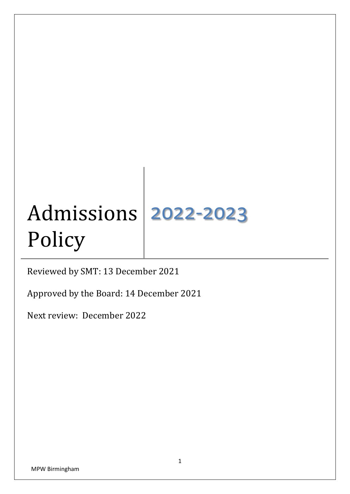# Admissions Policy 2022-2023

Reviewed by SMT: 13 December 2021

Approved by the Board: 14 December 2021

Next review: December 2022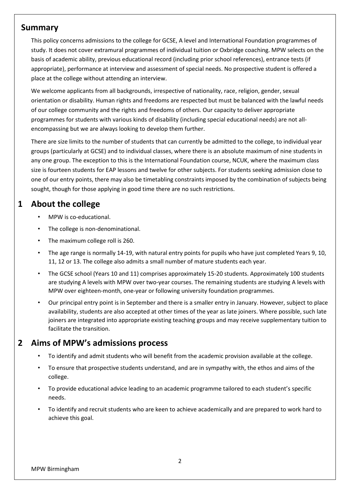### **Summary**

This policy concerns admissions to the college for GCSE, A level and International Foundation programmes of study. It does not cover extramural programmes of individual tuition or Oxbridge coaching. MPW selects on the basis of academic ability, previous educational record (including prior school references), entrance tests (if appropriate), performance at interview and assessment of special needs. No prospective student is offered a place at the college without attending an interview.

We welcome applicants from all backgrounds, irrespective of nationality, race, religion, gender, sexual orientation or disability. Human rights and freedoms are respected but must be balanced with the lawful needs of our college community and the rights and freedoms of others. Our capacity to deliver appropriate programmes for students with various kinds of disability (including special educational needs) are not allencompassing but we are always looking to develop them further.

There are size limits to the number of students that can currently be admitted to the college, to individual year groups (particularly at GCSE) and to individual classes, where there is an absolute maximum of nine students in any one group. The exception to this is the International Foundation course, NCUK, where the maximum class size is fourteen students for EAP lessons and twelve for other subjects. For students seeking admission close to one of our entry points, there may also be timetabling constraints imposed by the combination of subjects being sought, though for those applying in good time there are no such restrictions.

# **1 About the college**

- MPW is co-educational.
- The college is non-denominational.
- The maximum college roll is 260.
- The age range is normally 14-19, with natural entry points for pupils who have just completed Years 9, 10, 11, 12 or 13. The college also admits a small number of mature students each year.
- The GCSE school (Years 10 and 11) comprises approximately 15-20 students. Approximately 100 students are studying A levels with MPW over two-year courses. The remaining students are studying A levels with MPW over eighteen-month, one-year or following university foundation programmes.
- Our principal entry point is in September and there is a smaller entry in January. However, subject to place availability, students are also accepted at other times of the year as late joiners. Where possible, such late joiners are integrated into appropriate existing teaching groups and may receive supplementary tuition to facilitate the transition.

### **2 Aims of MPW's admissions process**

- To identify and admit students who will benefit from the academic provision available at the college.
- To ensure that prospective students understand, and are in sympathy with, the ethos and aims of the college.
- To provide educational advice leading to an academic programme tailored to each student's specific needs.
- To identify and recruit students who are keen to achieve academically and are prepared to work hard to achieve this goal.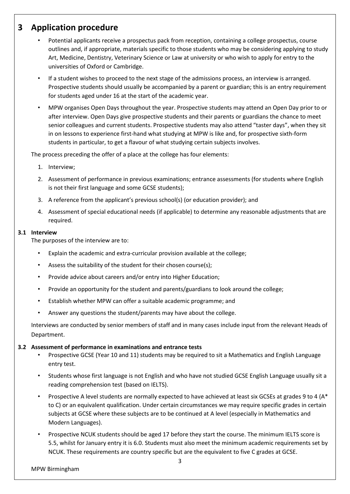### **3 Application procedure**

- Potential applicants receive a prospectus pack from reception, containing a college prospectus, course outlines and, if appropriate, materials specific to those students who may be considering applying to study Art, Medicine, Dentistry, Veterinary Science or Law at university or who wish to apply for entry to the universities of Oxford or Cambridge.
- If a student wishes to proceed to the next stage of the admissions process, an interview is arranged. Prospective students should usually be accompanied by a parent or guardian; this is an entry requirement for students aged under 16 at the start of the academic year.
- MPW organises Open Days throughout the year. Prospective students may attend an Open Day prior to or after interview. Open Days give prospective students and their parents or guardians the chance to meet senior colleagues and current students. Prospective students may also attend "taster days", when they sit in on lessons to experience first-hand what studying at MPW is like and, for prospective sixth-form students in particular, to get a flavour of what studying certain subjects involves.

The process preceding the offer of a place at the college has four elements:

- 1. Interview;
- 2. Assessment of performance in previous examinations; entrance assessments (for students where English is not their first language and some GCSE students);
- 3. A reference from the applicant's previous school(s) (or education provider); and
- 4. Assessment of special educational needs (if applicable) to determine any reasonable adjustments that are required.

#### **3.1 Interview**

The purposes of the interview are to:

- Explain the academic and extra-curricular provision available at the college;
- Assess the suitability of the student for their chosen course(s);
- Provide advice about careers and/or entry into Higher Education;
- Provide an opportunity for the student and parents/guardians to look around the college;
- Establish whether MPW can offer a suitable academic programme; and
- Answer any questions the student/parents may have about the college.

Interviews are conducted by senior members of staff and in many cases include input from the relevant Heads of Department.

#### **3.2 Assessment of performance in examinations and entrance tests**

- Prospective GCSE (Year 10 and 11) students may be required to sit a Mathematics and English Language entry test.
- Students whose first language is not English and who have not studied GCSE English Language usually sit a reading comprehension test (based on IELTS).
- Prospective A level students are normally expected to have achieved at least six GCSEs at grades 9 to 4 (A\* to C) or an equivalent qualification. Under certain circumstances we may require specific grades in certain subjects at GCSE where these subjects are to be continued at A level (especially in Mathematics and Modern Languages).
- Prospective NCUK students should be aged 17 before they start the course. The minimum IELTS score is 5.5, whilst for January entry it is 6.0. Students must also meet the minimum academic requirements set by NCUK. These requirements are country specific but are the equivalent to five C grades at GCSE.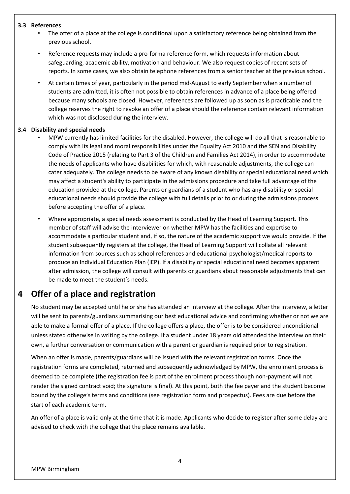#### **3.3 References**

- The offer of a place at the college is conditional upon a satisfactory reference being obtained from the previous school.
- Reference requests may include a pro-forma reference form, which requests information about safeguarding, academic ability, motivation and behaviour. We also request copies of recent sets of reports. In some cases, we also obtain telephone references from a senior teacher at the previous school.
- At certain times of year, particularly in the period mid-August to early September when a number of students are admitted, it is often not possible to obtain references in advance of a place being offered because many schools are closed. However, references are followed up as soon as is practicable and the college reserves the right to revoke an offer of a place should the reference contain relevant information which was not disclosed during the interview.

#### **3.4 Disability and special needs**

- MPW currently has limited facilities for the disabled. However, the college will do all that is reasonable to comply with its legal and moral responsibilities under the Equality Act 2010 and the SEN and Disability Code of Practice 2015 (relating to Part 3 of the Children and Families Act 2014), in order to accommodate the needs of applicants who have disabilities for which, with reasonable adjustments, the college can cater adequately. The college needs to be aware of any known disability or special educational need which may affect a student's ability to participate in the admissions procedure and take full advantage of the education provided at the college. Parents or guardians of a student who has any disability or special educational needs should provide the college with full details prior to or during the admissions process before accepting the offer of a place.
- Where appropriate, a special needs assessment is conducted by the Head of Learning Support. This member of staff will advise the interviewer on whether MPW has the facilities and expertise to accommodate a particular student and, if so, the nature of the academic support we would provide. If the student subsequently registers at the college, the Head of Learning Support will collate all relevant information from sources such as school references and educational psychologist/medical reports to produce an Individual Education Plan (IEP). If a disability or special educational need becomes apparent after admission, the college will consult with parents or guardians about reasonable adjustments that can be made to meet the student's needs.

# **4 Offer of a place and registration**

No student may be accepted until he or she has attended an interview at the college. After the interview, a letter will be sent to parents/guardians summarising our best educational advice and confirming whether or not we are able to make a formal offer of a place. If the college offers a place, the offer is to be considered unconditional unless stated otherwise in writing by the college. If a student under 18 years old attended the interview on their own, a further conversation or communication with a parent or guardian is required prior to registration.

When an offer is made, parents/guardians will be issued with the relevant registration forms. Once the registration forms are completed, returned and subsequently acknowledged by MPW, the enrolment process is deemed to be complete (the registration fee is part of the enrolment process though non-payment will not render the signed contract void; the signature is final). At this point, both the fee payer and the student become bound by the college's terms and conditions (see registration form and prospectus). Fees are due before the start of each academic term.

An offer of a place is valid only at the time that it is made. Applicants who decide to register after some delay are advised to check with the college that the place remains available.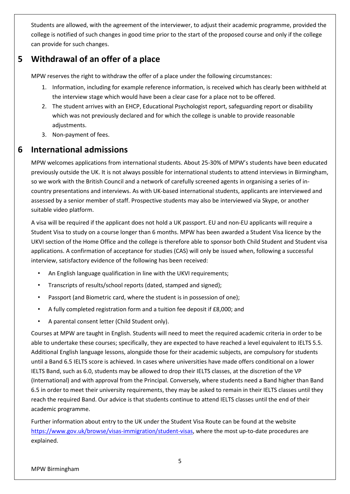Students are allowed, with the agreement of the interviewer, to adjust their academic programme, provided the college is notified of such changes in good time prior to the start of the proposed course and only if the college can provide for such changes.

# **5 Withdrawal of an offer of a place**

MPW reserves the right to withdraw the offer of a place under the following circumstances:

- 1. Information, including for example reference information, is received which has clearly been withheld at the interview stage which would have been a clear case for a place not to be offered.
- 2. The student arrives with an EHCP, Educational Psychologist report, safeguarding report or disability which was not previously declared and for which the college is unable to provide reasonable adjustments.
- 3. Non-payment of fees.

# **6 International admissions**

MPW welcomes applications from international students. About 25-30% of MPW's students have been educated previously outside the UK. It is not always possible for international students to attend interviews in Birmingham, so we work with the British Council and a network of carefully screened agents in organising a series of incountry presentations and interviews. As with UK-based international students, applicants are interviewed and assessed by a senior member of staff. Prospective students may also be interviewed via Skype, or another suitable video platform.

A visa will be required if the applicant does not hold a UK passport. EU and non-EU applicants will require a Student Visa to study on a course longer than 6 months. MPW has been awarded a Student Visa licence by the UKVI section of the Home Office and the college is therefore able to sponsor both Child Student and Student visa applications. A confirmation of acceptance for studies (CAS) will only be issued when, following a successful interview, satisfactory evidence of the following has been received:

- An English language qualification in line with the UKVI requirements;
- Transcripts of results/school reports (dated, stamped and signed);
- Passport (and Biometric card, where the student is in possession of one);
- A fully completed registration form and a tuition fee deposit if £8,000; and
- A parental consent letter (Child Student only).

Courses at MPW are taught in English. Students will need to meet the required academic criteria in order to be able to undertake these courses; specifically, they are expected to have reached a level equivalent to IELTS 5.5. Additional English language lessons, alongside those for their academic subjects, are compulsory for students until a Band 6.5 IELTS score is achieved. In cases where universities have made offers conditional on a lower IELTS Band, such as 6.0, students may be allowed to drop their IELTS classes, at the discretion of the VP (International) and with approval from the Principal. Conversely, where students need a Band higher than Band 6.5 in order to meet their university requirements, they may be asked to remain in their IELTS classes until they reach the required Band. Our advice is that students continue to attend IELTS classes until the end of their academic programme.

Further information about entry to the UK under the Student Visa Route can be found at the website [https://www.gov.uk/browse/visas-immigration/student-visas,](https://www.gov.uk/browse/visas-immigration/student-visas) where the most up-to-date procedures are explained.